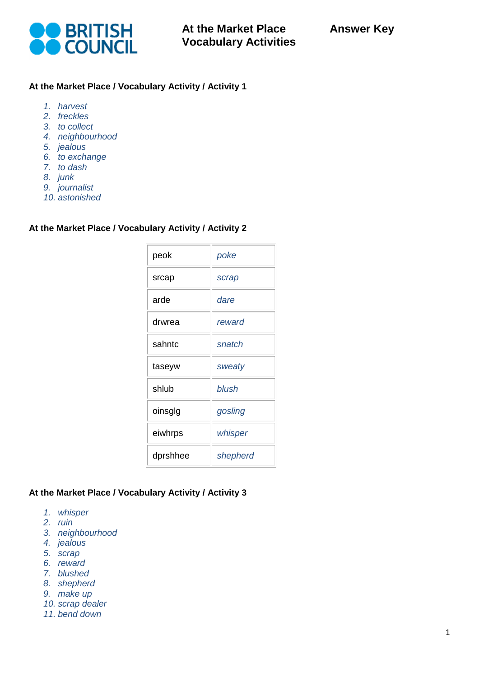

## **At the Market Place / Vocabulary Activity / Activity 1**

- *1. harvest*
- *2. freckles*
- *3. to collect*
- *4. neighbourhood*
- *5. jealous*
- *6. to exchange*
- *7. to dash*
- *8. junk*
- *9. journalist*
- *10. astonished*

### **At the Market Place / Vocabulary Activity / Activity 2**

| peok     | poke     |
|----------|----------|
| srcap    | scrap    |
| arde     | dare     |
| drwrea   | reward   |
| sahntc   | snatch   |
| taseyw   | sweaty   |
| shlub    | blush    |
| oinsglg  | gosling  |
| eiwhrps  | whisper  |
| dprshhee | shepherd |

#### **At the Market Place / Vocabulary Activity / Activity 3**

- *1. whisper*
- *2. ruin*
- *3. neighbourhood*
- *4. jealous*
- *5. scrap*
- *6. reward*
- *7. blushed*
- *8. shepherd*
- *9. make up*
- *10. scrap dealer*
- *11. bend down*